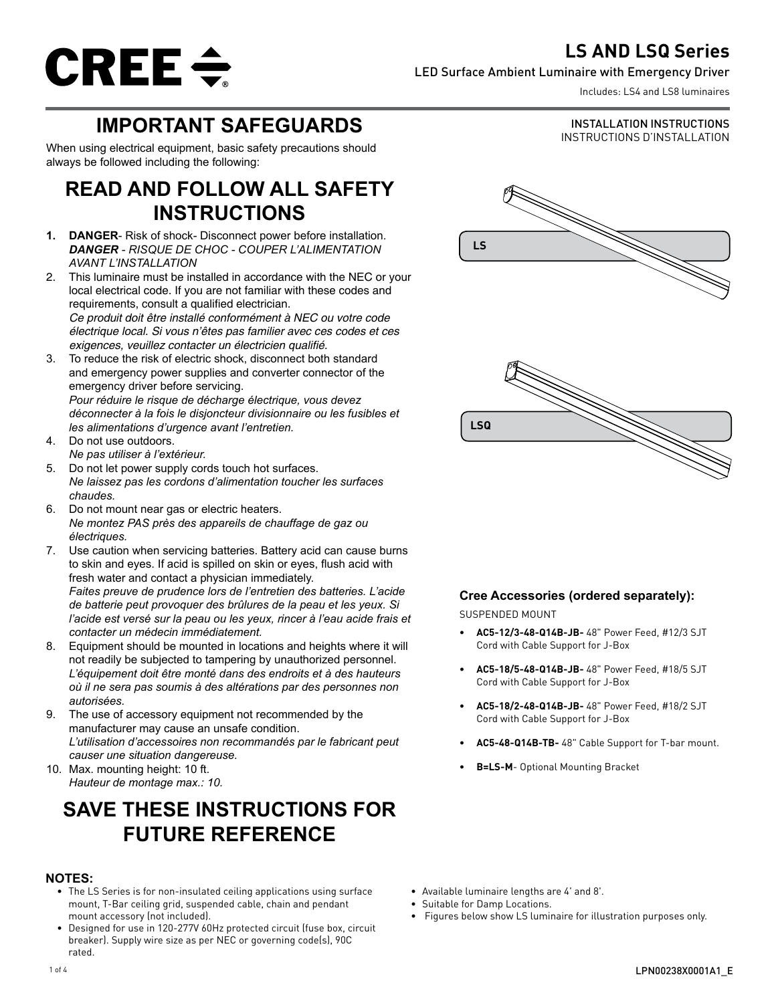# **LS AND LSQ Series**



### LED Surface Ambient Luminaire with Emergency Driver

Includes: LS4 and LS8 luminaires

INSTALLATION INSTRUCTIONS INSTRUCTIONS D'INSTALLATION

# **IMPORTANT SAFEGUARDS**

When using electrical equipment, basic safety precautions should always be followed including the following:

# **READ AND FOLLOW ALL SAFETY INSTRUCTIONS**

- **1. DANGER** Risk of shock- Disconnect power before installation. *DANGER - RISQUE DE CHOC - COUPER L'ALIMENTATION AVANT L'INSTALLATION*
- 2. This luminaire must be installed in accordance with the NEC or your local electrical code. If you are not familiar with these codes and requirements, consult a qualified electrician. *Ce produit doit être installé conformément à NEC ou votre code électrique local. Si vous n'êtes pas familier avec ces codes et ces*  exigences, veuillez contacter un électricien qualifié.
- 3. To reduce the risk of electric shock, disconnect both standard and emergency power supplies and converter connector of the emergency driver before servicing. *Pour réduire le risque de décharge électrique, vous devez déconnecter à la fois le disjoncteur divisionnaire ou les fusibles et les alimentations d'urgence avant l'entretien.*
- 4. Do not use outdoors. *Ne pas utiliser à l'extérieur.*
- 5. Do not let power supply cords touch hot surfaces. *Ne laissez pas les cordons d'alimentation toucher les surfaces chaudes.*
- 6. Do not mount near gas or electric heaters. *Ne montez PAS près des appareils de chauffage de gaz ou électriques.*
- 7. Use caution when servicing batteries. Battery acid can cause burns to skin and eyes. If acid is spilled on skin or eyes, flush acid with fresh water and contact a physician immediately. *Faites preuve de prudence lors de l'entretien des batteries. L'acide de batterie peut provoquer des brûlures de la peau et les yeux. Si l'acide est versé sur la peau ou les yeux, rincer à l'eau acide frais et contacter un médecin immédiatement.*
- 8. Equipment should be mounted in locations and heights where it will not readily be subjected to tampering by unauthorized personnel. *L'équipement doit être monté dans des endroits et à des hauteurs où il ne sera pas soumis à des altérations par des personnes non autorisées.*
- 9. The use of accessory equipment not recommended by the manufacturer may cause an unsafe condition. *L'utilisation d'accessoires non recommandés par le fabricant peut causer une situation dangereuse.*

10. Max. mounting height: 10 ft. *Hauteur de montage max.: 10.*

# **SAVE THESE INSTRUCTIONS FOR FUTURE REFERENCE**

## **NOTES:**

- The LS Series is for non-insulated ceiling applications using surface mount, T-Bar ceiling grid, suspended cable, chain and pendant mount accessory (not included).
- Designed for use in 120-277V 60Hz protected circuit (fuse box, circuit breaker). Supply wire size as per NEC or governing code(s), 90C rated.





### **Cree Accessories (ordered separately):**

### SUSPENDED MOUNT

- **• AC5-12/3-48-Q14B-JB-** 48" Power Feed, #12/3 SJT Cord with Cable Support for J-Box
- **• AC5-18/5-48-Q14B-JB-** 48" Power Feed, #18/5 SJT Cord with Cable Support for J-Box
- **• AC5-18/2-48-Q14B-JB-** 48" Power Feed, #18/2 SJT Cord with Cable Support for J-Box
- **• AC5-48-Q14B-TB-** 48" Cable Support for T-bar mount.
- **• B=LS-M** Optional Mounting Bracket

- Available luminaire lengths are 4' and 8'.
- Suitable for Damp Locations.
- Figures below show LS luminaire for illustration purposes only.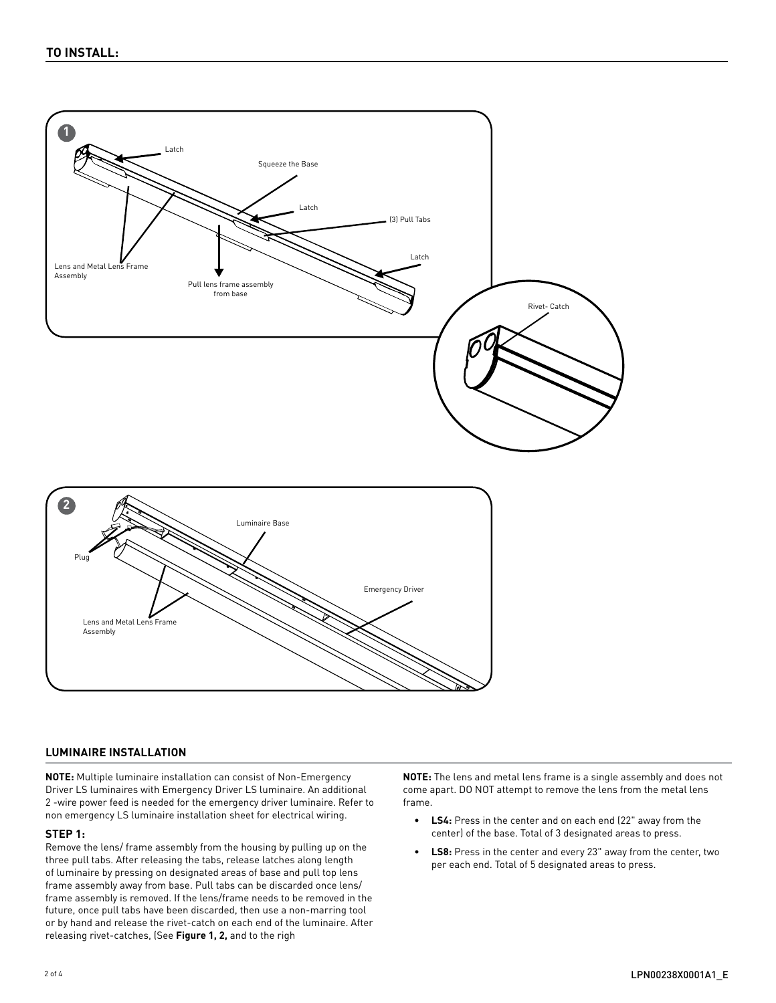

#### **LUMINAIRE INSTALLATION**

**NOTE:** Multiple luminaire installation can consist of Non-Emergency Driver LS luminaires with Emergency Driver LS luminaire. An additional 2 -wire power feed is needed for the emergency driver luminaire. Refer to non emergency LS luminaire installation sheet for electrical wiring.

#### **STEP 1:**

Remove the lens/ frame assembly from the housing by pulling up on the three pull tabs. After releasing the tabs, release latches along length of luminaire by pressing on designated areas of base and pull top lens frame assembly away from base. Pull tabs can be discarded once lens/ frame assembly is removed. If the lens/frame needs to be removed in the future, once pull tabs have been discarded, then use a non-marring tool or by hand and release the rivet-catch on each end of the luminaire. After releasing rivet-catches, (See **Figure 1, 2,** and to the righ

**NOTE:** The lens and metal lens frame is a single assembly and does not come apart. DO NOT attempt to remove the lens from the metal lens frame.

- **• LS4:** Press in the center and on each end (22" away from the center) of the base. Total of 3 designated areas to press.
- **LS8:** Press in the center and every 23" away from the center, two per each end. Total of 5 designated areas to press.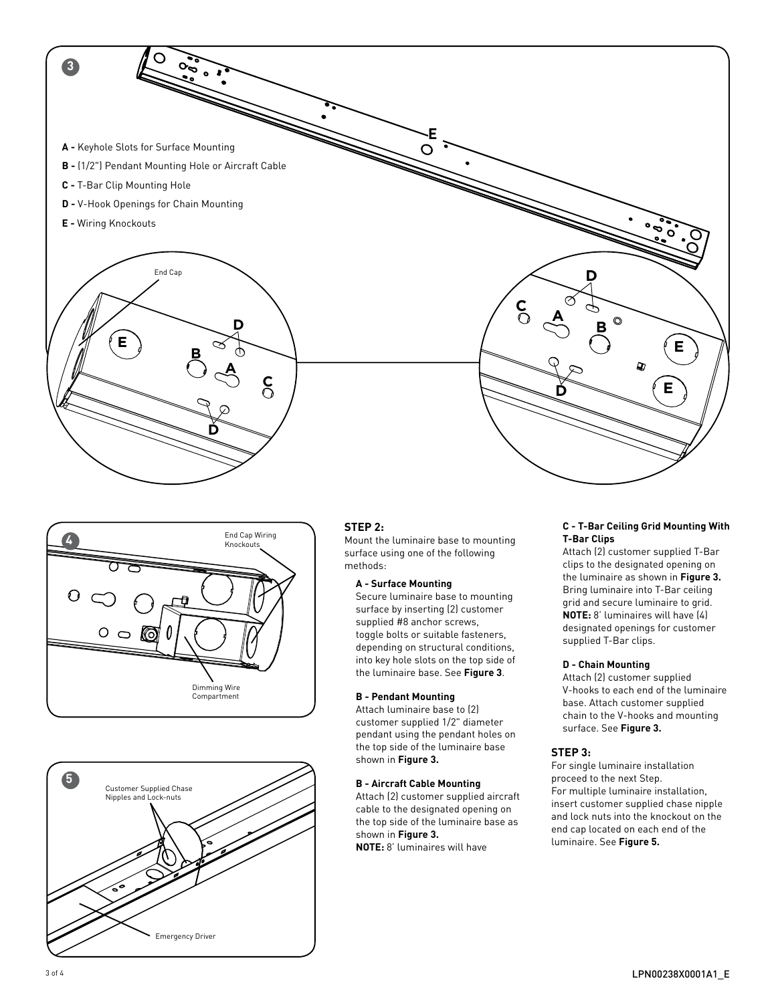**3 E A -** Keyhole Slots for Surface Mounting **B -** (1/2") Pendant Mounting Hole or Aircraft Cable **C -** T-Bar Clip Mounting Hole **D -** V-Hook Openings for Chain Mounting **E -** Wiring Knockouts End Cap **D <sup>A</sup> <sup>C</sup> D B E E B** D) **A C E D D**





### **STEP 2:**

Mount the luminaire base to mounting surface using one of the following methods:

#### **A - Surface Mounting**

Secure luminaire base to mounting surface by inserting (2) customer supplied #8 anchor screws, toggle bolts or suitable fasteners, depending on structural conditions, into key hole slots on the top side of the luminaire base. See **Figure 3**.

### **B - Pendant Mounting**

Attach luminaire base to (2) customer supplied 1/2" diameter pendant using the pendant holes on the top side of the luminaire base shown in **Figure 3.**

#### **B - Aircraft Cable Mounting**

Attach (2) customer supplied aircraft cable to the designated opening on the top side of the luminaire base as shown in **Figure 3. NOTE:** 8' luminaires will have

#### **C - T-Bar Ceiling Grid Mounting With T-Bar Clips**

Attach (2) customer supplied T-Bar clips to the designated opening on the luminaire as shown in **Figure 3.** Bring luminaire into T-Bar ceiling grid and secure luminaire to grid. **NOTE:** 8' luminaires will have (4) designated openings for customer supplied T-Bar clips.

#### **D - Chain Mounting**

Attach (2) customer supplied V-hooks to each end of the luminaire base. Attach customer supplied chain to the V-hooks and mounting surface. See **Figure 3.**

### **STEP 3:**

For single luminaire installation proceed to the next Step. For multiple luminaire installation, insert customer supplied chase nipple and lock nuts into the knockout on the end cap located on each end of the luminaire. See **Figure 5.**